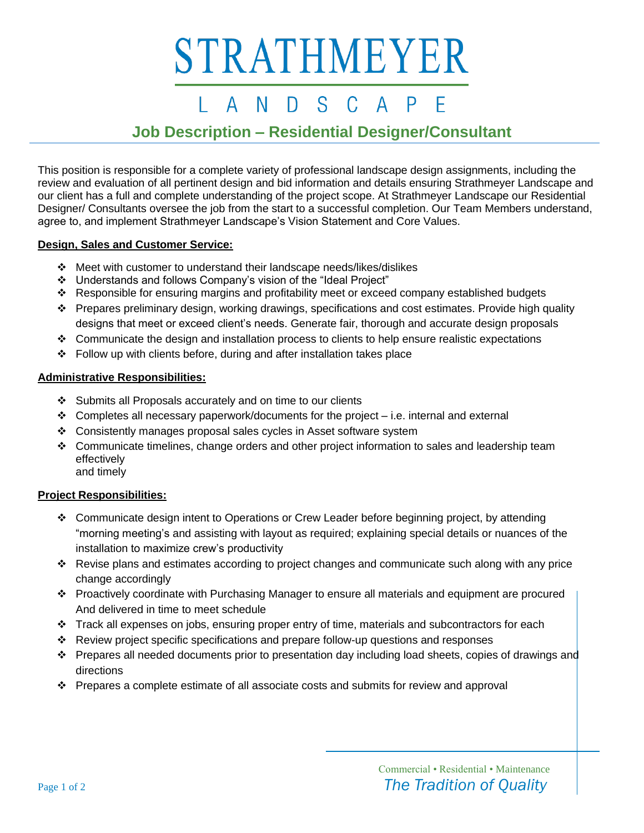# STRATHMEYER

#### S.  $\mathsf{A}$ N D  $\mathsf{A}$

### **Job Description – Residential Designer/Consultant**

This position is responsible for a complete variety of professional landscape design assignments, including the review and evaluation of all pertinent design and bid information and details ensuring Strathmeyer Landscape and our client has a full and complete understanding of the project scope. At Strathmeyer Landscape our Residential Designer/ Consultants oversee the job from the start to a successful completion. Our Team Members understand, agree to, and implement Strathmeyer Landscape's Vision Statement and Core Values.

### **Design, Sales and Customer Service:**

- ❖ Meet with customer to understand their landscape needs/likes/dislikes
- ❖ Understands and follows Company's vision of the "Ideal Project"
- ❖ Responsible for ensuring margins and profitability meet or exceed company established budgets
- ❖ Prepares preliminary design, working drawings, specifications and cost estimates. Provide high quality designs that meet or exceed client's needs. Generate fair, thorough and accurate design proposals
- ❖ Communicate the design and installation process to clients to help ensure realistic expectations
- ❖ Follow up with clients before, during and after installation takes place

### **Administrative Responsibilities:**

- ❖ Submits all Proposals accurately and on time to our clients
- $\div$  Completes all necessary paperwork/documents for the project i.e. internal and external
- ❖ Consistently manages proposal sales cycles in Asset software system
- ❖ Communicate timelines, change orders and other project information to sales and leadership team effectively and timely

### **Project Responsibilities:**

- ❖ Communicate design intent to Operations or Crew Leader before beginning project, by attending "morning meeting's and assisting with layout as required; explaining special details or nuances of the installation to maximize crew's productivity
- ❖ Revise plans and estimates according to project changes and communicate such along with any price change accordingly
- ❖ Proactively coordinate with Purchasing Manager to ensure all materials and equipment are procured And delivered in time to meet schedule
- ❖ Track all expenses on jobs, ensuring proper entry of time, materials and subcontractors for each
- ❖ Review project specific specifications and prepare follow-up questions and responses
- ❖ Prepares all needed documents prior to presentation day including load sheets, copies of drawings and directions
- ❖ Prepares a complete estimate of all associate costs and submits for review and approval